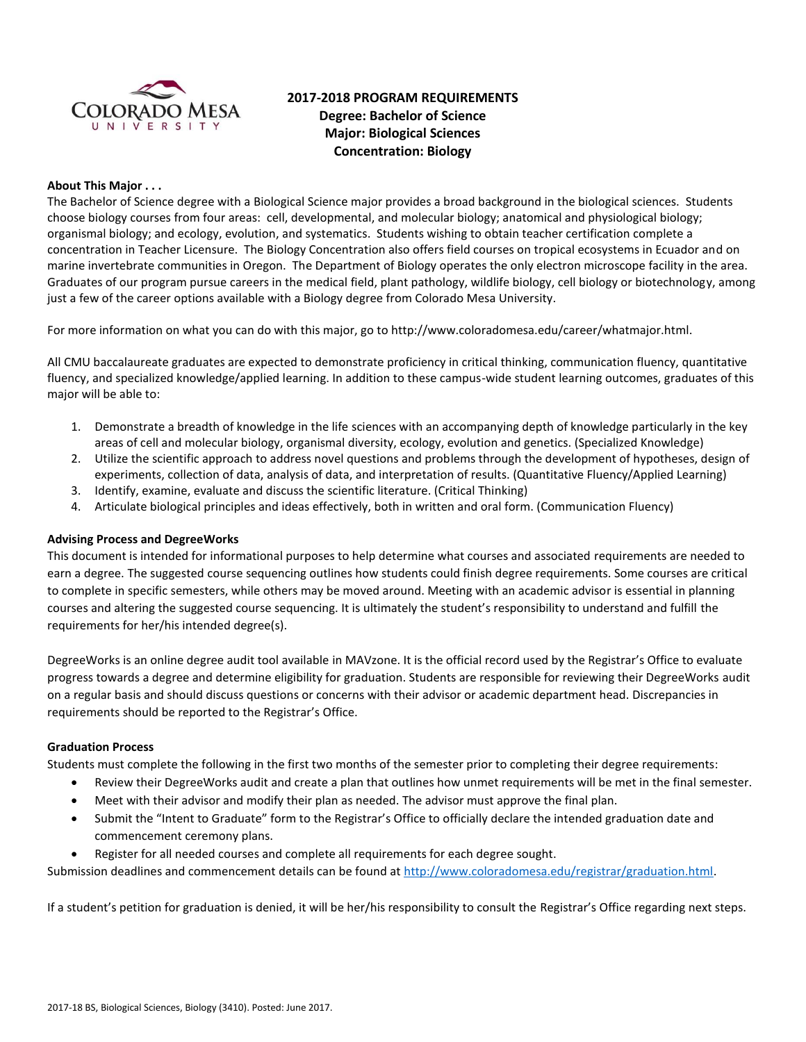

# **2017-2018 PROGRAM REQUIREMENTS Degree: Bachelor of Science Major: Biological Sciences Concentration: Biology**

### **About This Major . . .**

The Bachelor of Science degree with a Biological Science major provides a broad background in the biological sciences. Students choose biology courses from four areas: cell, developmental, and molecular biology; anatomical and physiological biology; organismal biology; and ecology, evolution, and systematics. Students wishing to obtain teacher certification complete a concentration in Teacher Licensure. The Biology Concentration also offers field courses on tropical ecosystems in Ecuador and on marine invertebrate communities in Oregon. The Department of Biology operates the only electron microscope facility in the area. Graduates of our program pursue careers in the medical field, plant pathology, wildlife biology, cell biology or biotechnology, among just a few of the career options available with a Biology degree from Colorado Mesa University.

For more information on what you can do with this major, go to http://www.coloradomesa.edu/career/whatmajor.html.

All CMU baccalaureate graduates are expected to demonstrate proficiency in critical thinking, communication fluency, quantitative fluency, and specialized knowledge/applied learning. In addition to these campus-wide student learning outcomes, graduates of this major will be able to:

- 1. Demonstrate a breadth of knowledge in the life sciences with an accompanying depth of knowledge particularly in the key areas of cell and molecular biology, organismal diversity, ecology, evolution and genetics. (Specialized Knowledge)
- 2. Utilize the scientific approach to address novel questions and problems through the development of hypotheses, design of experiments, collection of data, analysis of data, and interpretation of results. (Quantitative Fluency/Applied Learning)
- 3. Identify, examine, evaluate and discuss the scientific literature. (Critical Thinking)
- 4. Articulate biological principles and ideas effectively, both in written and oral form. (Communication Fluency)

### **Advising Process and DegreeWorks**

This document is intended for informational purposes to help determine what courses and associated requirements are needed to earn a degree. The suggested course sequencing outlines how students could finish degree requirements. Some courses are critical to complete in specific semesters, while others may be moved around. Meeting with an academic advisor is essential in planning courses and altering the suggested course sequencing. It is ultimately the student's responsibility to understand and fulfill the requirements for her/his intended degree(s).

DegreeWorks is an online degree audit tool available in MAVzone. It is the official record used by the Registrar's Office to evaluate progress towards a degree and determine eligibility for graduation. Students are responsible for reviewing their DegreeWorks audit on a regular basis and should discuss questions or concerns with their advisor or academic department head. Discrepancies in requirements should be reported to the Registrar's Office.

### **Graduation Process**

Students must complete the following in the first two months of the semester prior to completing their degree requirements:

- Review their DegreeWorks audit and create a plan that outlines how unmet requirements will be met in the final semester.
- Meet with their advisor and modify their plan as needed. The advisor must approve the final plan.
- Submit the "Intent to Graduate" form to the Registrar's Office to officially declare the intended graduation date and commencement ceremony plans.
- Register for all needed courses and complete all requirements for each degree sought.

Submission deadlines and commencement details can be found at [http://www.coloradomesa.edu/registrar/graduation.html.](http://www.coloradomesa.edu/registrar/graduation.html)

If a student's petition for graduation is denied, it will be her/his responsibility to consult the Registrar's Office regarding next steps.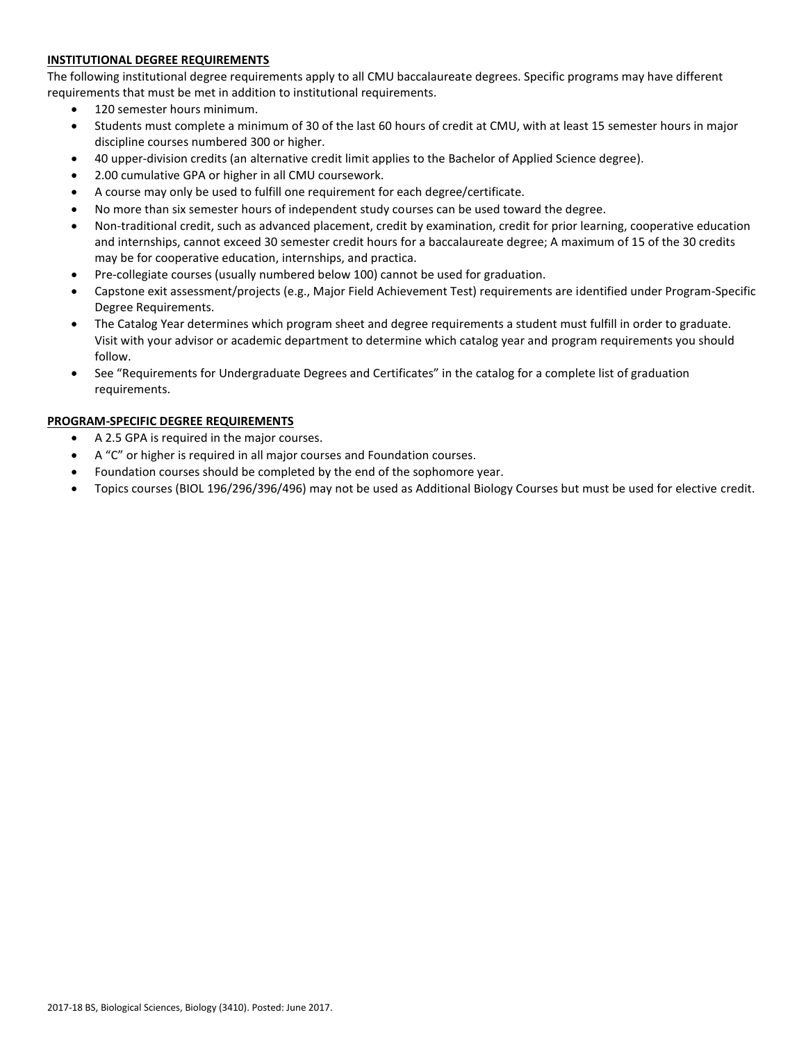# **INSTITUTIONAL DEGREE REQUIREMENTS**

The following institutional degree requirements apply to all CMU baccalaureate degrees. Specific programs may have different requirements that must be met in addition to institutional requirements.

- 120 semester hours minimum.
- Students must complete a minimum of 30 of the last 60 hours of credit at CMU, with at least 15 semester hours in major discipline courses numbered 300 or higher.
- 40 upper-division credits (an alternative credit limit applies to the Bachelor of Applied Science degree).
- 2.00 cumulative GPA or higher in all CMU coursework.
- A course may only be used to fulfill one requirement for each degree/certificate.
- No more than six semester hours of independent study courses can be used toward the degree.
- Non-traditional credit, such as advanced placement, credit by examination, credit for prior learning, cooperative education and internships, cannot exceed 30 semester credit hours for a baccalaureate degree; A maximum of 15 of the 30 credits may be for cooperative education, internships, and practica.
- Pre-collegiate courses (usually numbered below 100) cannot be used for graduation.
- Capstone exit assessment/projects (e.g., Major Field Achievement Test) requirements are identified under Program-Specific Degree Requirements.
- The Catalog Year determines which program sheet and degree requirements a student must fulfill in order to graduate. Visit with your advisor or academic department to determine which catalog year and program requirements you should follow.
- See "Requirements for Undergraduate Degrees and Certificates" in the catalog for a complete list of graduation requirements.

# **PROGRAM-SPECIFIC DEGREE REQUIREMENTS**

- A 2.5 GPA is required in the major courses.
- A "C" or higher is required in all major courses and Foundation courses.
- Foundation courses should be completed by the end of the sophomore year.
- Topics courses (BIOL 196/296/396/496) may not be used as Additional Biology Courses but must be used for elective credit.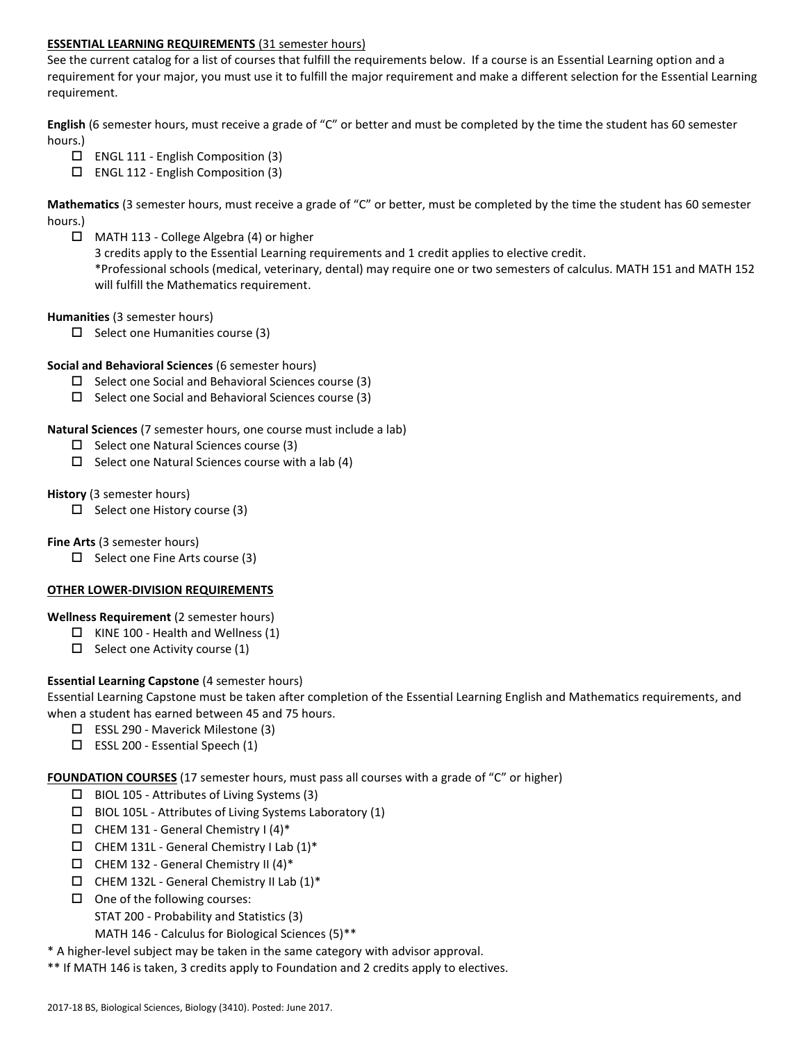# **ESSENTIAL LEARNING REQUIREMENTS** (31 semester hours)

See the current catalog for a list of courses that fulfill the requirements below. If a course is an Essential Learning option and a requirement for your major, you must use it to fulfill the major requirement and make a different selection for the Essential Learning requirement.

**English** (6 semester hours, must receive a grade of "C" or better and must be completed by the time the student has 60 semester hours.)

- $\Box$  ENGL 111 English Composition (3)
- ENGL 112 English Composition (3)

**Mathematics** (3 semester hours, must receive a grade of "C" or better, must be completed by the time the student has 60 semester hours.)

MATH 113 - College Algebra (4) or higher

3 credits apply to the Essential Learning requirements and 1 credit applies to elective credit.

\*Professional schools (medical, veterinary, dental) may require one or two semesters of calculus. MATH 151 and MATH 152 will fulfill the Mathematics requirement.

**Humanities** (3 semester hours)

 $\Box$  Select one Humanities course (3)

**Social and Behavioral Sciences** (6 semester hours)

- $\Box$  Select one Social and Behavioral Sciences course (3)
- $\square$  Select one Social and Behavioral Sciences course (3)

**Natural Sciences** (7 semester hours, one course must include a lab)

- $\Box$  Select one Natural Sciences course (3)
- $\square$  Select one Natural Sciences course with a lab (4)

# **History** (3 semester hours)

 $\Box$  Select one History course (3)

**Fine Arts** (3 semester hours)

 $\Box$  Select one Fine Arts course (3)

# **OTHER LOWER-DIVISION REQUIREMENTS**

# **Wellness Requirement** (2 semester hours)

- $\Box$  KINE 100 Health and Wellness (1)
- $\Box$  Select one Activity course (1)

# **Essential Learning Capstone** (4 semester hours)

Essential Learning Capstone must be taken after completion of the Essential Learning English and Mathematics requirements, and when a student has earned between 45 and 75 hours.

- ESSL 290 Maverick Milestone (3)
- $\square$  ESSL 200 Essential Speech (1)

**FOUNDATION COURSES** (17 semester hours, must pass all courses with a grade of "C" or higher)

- $\Box$  BIOL 105 Attributes of Living Systems (3)
- $\Box$  BIOL 105L Attributes of Living Systems Laboratory (1)
- $\Box$  CHEM 131 General Chemistry I (4)\*
- $\Box$  CHEM 131L General Chemistry I Lab (1)\*
- $\Box$  CHEM 132 General Chemistry II (4)\*
- $\Box$  CHEM 132L General Chemistry II Lab (1)\*
- $\Box$  One of the following courses:
	- STAT 200 Probability and Statistics (3)

MATH 146 - Calculus for Biological Sciences (5)\*\*

\* A higher-level subject may be taken in the same category with advisor approval.

\*\* If MATH 146 is taken, 3 credits apply to Foundation and 2 credits apply to electives.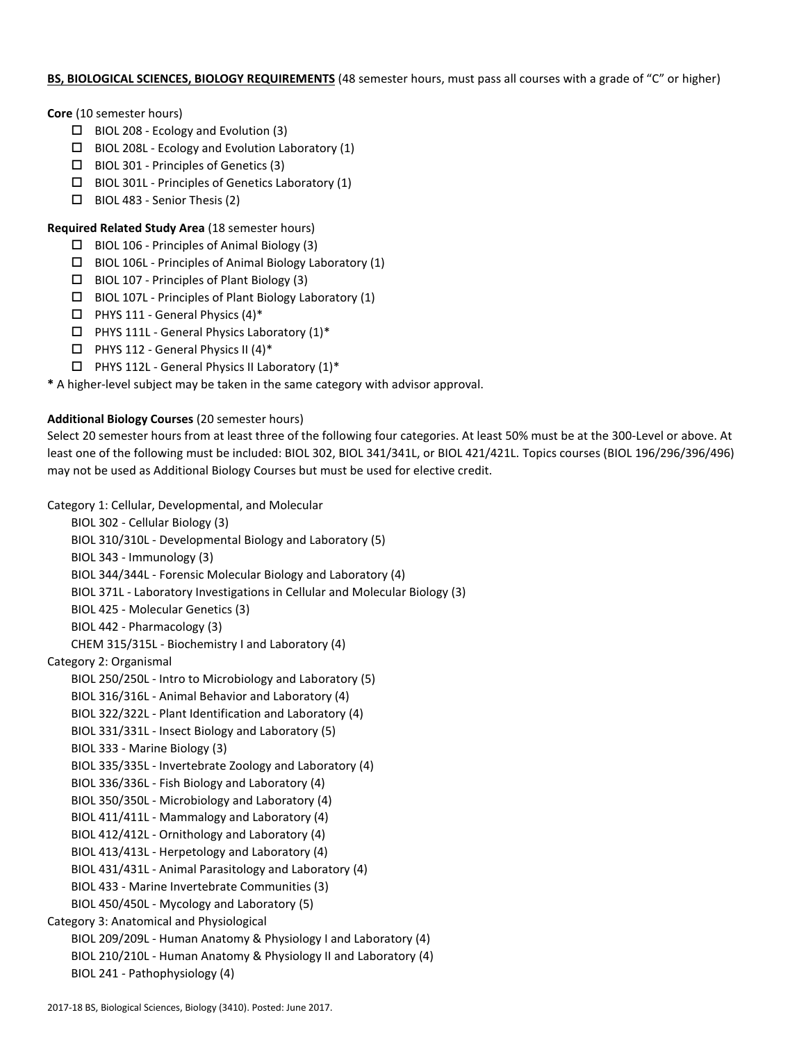### **BS, BIOLOGICAL SCIENCES, BIOLOGY REQUIREMENTS** (48 semester hours, must pass all courses with a grade of "C" or higher)

**Core** (10 semester hours)

- $\Box$  BIOL 208 Ecology and Evolution (3)
- $\Box$  BIOL 208L Ecology and Evolution Laboratory (1)
- BIOL 301 Principles of Genetics (3)
- $\Box$  BIOL 301L Principles of Genetics Laboratory (1)
- $\Box$  BIOL 483 Senior Thesis (2)

# **Required Related Study Area** (18 semester hours)

- $\Box$  BIOL 106 Principles of Animal Biology (3)
- $\Box$  BIOL 106L Principles of Animal Biology Laboratory (1)
- $\Box$  BIOL 107 Principles of Plant Biology (3)
- $\Box$  BIOL 107L Principles of Plant Biology Laboratory (1)
- $\Box$  PHYS 111 General Physics (4)\*
- $\Box$  PHYS 111L General Physics Laboratory (1)\*
- $\Box$  PHYS 112 General Physics II (4)\*
- $\Box$  PHYS 112L General Physics II Laboratory (1)\*

**\*** A higher-level subject may be taken in the same category with advisor approval.

# **Additional Biology Courses** (20 semester hours)

Select 20 semester hours from at least three of the following four categories. At least 50% must be at the 300-Level or above. At least one of the following must be included: BIOL 302, BIOL 341/341L, or BIOL 421/421L. Topics courses (BIOL 196/296/396/496) may not be used as Additional Biology Courses but must be used for elective credit.

# Category 1: Cellular, Developmental, and Molecular

BIOL 302 - Cellular Biology (3) BIOL 310/310L - Developmental Biology and Laboratory (5) BIOL 343 - Immunology (3) BIOL 344/344L - Forensic Molecular Biology and Laboratory (4) BIOL 371L - Laboratory Investigations in Cellular and Molecular Biology (3) BIOL 425 - Molecular Genetics (3) BIOL 442 - Pharmacology (3) CHEM 315/315L - Biochemistry I and Laboratory (4) Category 2: Organismal BIOL 250/250L - Intro to Microbiology and Laboratory (5) BIOL 316/316L - Animal Behavior and Laboratory (4) BIOL 322/322L - Plant Identification and Laboratory (4) BIOL 331/331L - Insect Biology and Laboratory (5) BIOL 333 - Marine Biology (3) BIOL 335/335L - Invertebrate Zoology and Laboratory (4) BIOL 336/336L - Fish Biology and Laboratory (4) BIOL 350/350L - Microbiology and Laboratory (4) BIOL 411/411L - Mammalogy and Laboratory (4) BIOL 412/412L - Ornithology and Laboratory (4) BIOL 413/413L - Herpetology and Laboratory (4) BIOL 431/431L - Animal Parasitology and Laboratory (4) BIOL 433 - Marine Invertebrate Communities (3) BIOL 450/450L - Mycology and Laboratory (5) Category 3: Anatomical and Physiological BIOL 209/209L - Human Anatomy & Physiology I and Laboratory (4) BIOL 210/210L - Human Anatomy & Physiology II and Laboratory (4) BIOL 241 - Pathophysiology (4)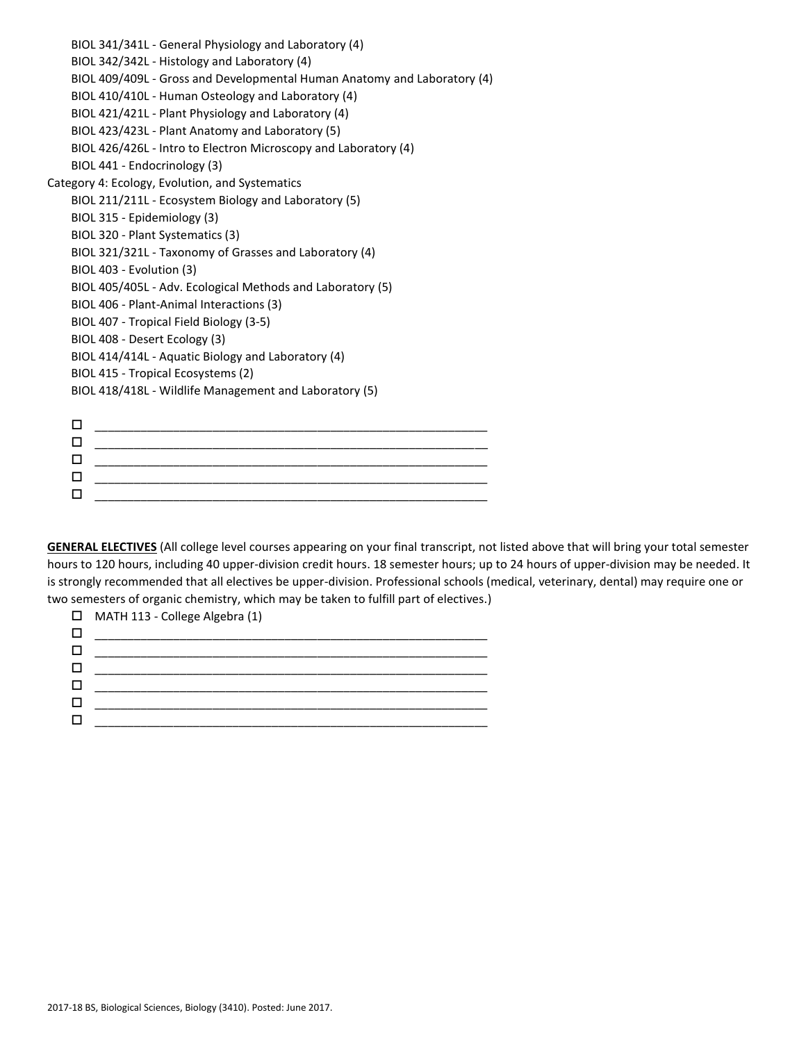BIOL 341/341L - General Physiology and Laboratory (4) BIOL 342/342L - Histology and Laboratory (4) BIOL 409/409L - Gross and Developmental Human Anatomy and Laboratory (4) BIOL 410/410L - Human Osteology and Laboratory (4) BIOL 421/421L - Plant Physiology and Laboratory (4) BIOL 423/423L - Plant Anatomy and Laboratory (5) BIOL 426/426L - Intro to Electron Microscopy and Laboratory (4) BIOL 441 - Endocrinology (3) Category 4: Ecology, Evolution, and Systematics BIOL 211/211L - Ecosystem Biology and Laboratory (5) BIOL 315 - Epidemiology (3) BIOL 320 - Plant Systematics (3) BIOL 321/321L - Taxonomy of Grasses and Laboratory (4) BIOL 403 - Evolution (3) BIOL 405/405L - Adv. Ecological Methods and Laboratory (5) BIOL 406 - Plant-Animal Interactions (3) BIOL 407 - Tropical Field Biology (3-5) BIOL 408 - Desert Ecology (3) BIOL 414/414L - Aquatic Biology and Laboratory (4) BIOL 415 - Tropical Ecosystems (2) BIOL 418/418L - Wildlife Management and Laboratory (5)

 \_\_\_\_\_\_\_\_\_\_\_\_\_\_\_\_\_\_\_\_\_\_\_\_\_\_\_\_\_\_\_\_\_\_\_\_\_\_\_\_\_\_\_\_\_\_\_\_\_\_\_\_\_\_\_\_\_\_\_\_ \_\_\_\_\_\_\_\_\_\_\_\_\_\_\_\_\_\_\_\_\_\_\_\_\_\_\_\_\_\_\_\_\_\_\_\_\_\_\_\_\_\_\_\_\_\_\_\_\_\_\_\_\_\_\_\_\_\_\_\_ \_\_\_\_\_\_\_\_\_\_\_\_\_\_\_\_\_\_\_\_\_\_\_\_\_\_\_\_\_\_\_\_\_\_\_\_\_\_\_\_\_\_\_\_\_\_\_\_\_\_\_\_\_\_\_\_\_\_\_\_  $\Box$  . The contract of the contract of the contract of the contract of the contract of the contract of the contract of the contract of the contract of the contract of the contract of the contract of the contract of the co \_\_\_\_\_\_\_\_\_\_\_\_\_\_\_\_\_\_\_\_\_\_\_\_\_\_\_\_\_\_\_\_\_\_\_\_\_\_\_\_\_\_\_\_\_\_\_\_\_\_\_\_\_\_\_\_\_\_\_\_

**GENERAL ELECTIVES** (All college level courses appearing on your final transcript, not listed above that will bring your total semester hours to 120 hours, including 40 upper-division credit hours. 18 semester hours; up to 24 hours of upper-division may be needed. It is strongly recommended that all electives be upper-division. Professional schools (medical, veterinary, dental) may require one or two semesters of organic chemistry, which may be taken to fulfill part of electives.)